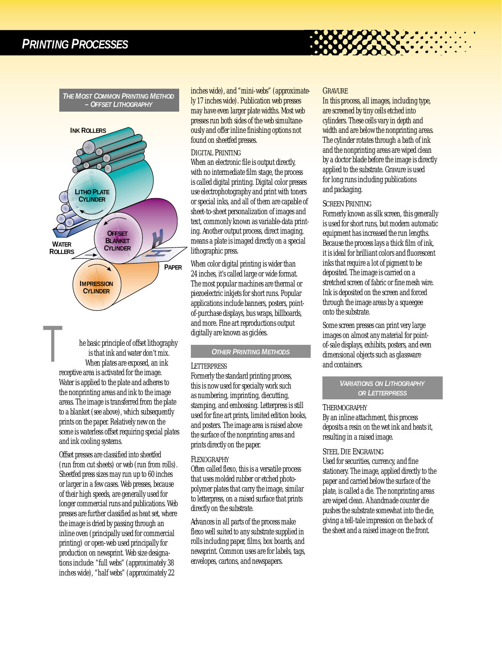*THE MOST COMMON PRINTING METHOD – OFFSET LITHOGRAPHY*



he basic principle of offset lithography is that ink and water don't mix. When plates are exposed, an ink **he basic principle of offset lithogenty** is that ink and water don't m<br>When plates are exposed, an in<br>receptive area is activated for the image. Water is applied to the plate and adheres to the nonprinting areas and ink to the image areas. The image is transferred from the plate to a blanket (see above), which subsequently prints on the paper. Relatively new on the scene is waterless offset requiring special plates and ink cooling systems.

> Offset presses are classified into sheetfed (run from cut sheets) or web (run from rolls). Sheetfed press sizes may run up to 60 inches or larger in a few cases. Web presses, because of their high speeds, are generally used for longer commercial runs and publications. Web presses are further classified as heat set, where the image is dried by passing through an inline oven (principally used for commercial printing) or open-web used principally for production on newsprint. Web size designations include: "full webs" (approximately 38 inches wide), "half webs" (approximately 22

inches wide), and "mini-webs" (approximately 17 inches wide). Publication web presses may have even larger plate widths. Most web presses run both sides of the web simultaneously and offer inline finishing options not found on sheetfed presses.

## *DIGITAL PRINTING*

When an electronic file is output directly, with no intermediate film stage, the process is called digital printing. Digital color presses use electrophotography and print with toners or special inks, and all of them are capable of sheet-to-sheet personalization of images and text, commonly known as variable-data printing. Another output process, direct imaging, means a plate is imaged directly on a special lithographic press.

When color digital printing is wider than 24 inches, it's called large or wide format. The most popular machines are thermal or piezoelectric inkjets for short runs. Popular applications include banners, posters, pointof-purchase displays, bus wraps, billboards, and more. Fine art reproductions output digitally are known as giclées.

# *OTHER PRINTING METHODS*

## *LETTERPRESS*

Formerly the standard printing process, this is now used for specialty work such as numbering, imprinting, diecutting, stamping, and embossing. Letterpress is still used for fine art prints, limited edition books, and posters. The image area is raised above the surface of the nonprinting areas and prints directly on the paper.

# *FLEXOGRAPHY*

Often called flexo, this is a versatile process that uses molded rubber or etched photopolymer plates that carry the image, similar to letterpress, on a raised surface that prints directly on the substrate.

Advances in all parts of the process make flexo well suited to any substrate supplied in rolls including paper, films, box boards, and newsprint. Common uses are for labels, tags, envelopes, cartons, and newspapers.

#### *GRAVURE*

In this process, all images, including type, are screened by tiny cells etched into cylinders. These cells vary in depth and width and are below the nonprinting areas. The cylinder rotates through a bath of ink and the nonprinting areas are wiped clean by a doctor blade before the image is directly applied to the substrate. Gravure is used for long runs including publications and packaging.

# *SCREEN PRINTING*

Formerly known as silk screen, this generally is used for short runs, but modern automatic equipment has increased the run lengths. Because the process lays a thick film of ink, it is ideal for brilliant colors and fluorescent inks that require a lot of pigment to be deposited. The image is carried on a stretched screen of fabric or fine mesh wire. Ink is deposited on the screen and forced through the image areas by a squeegee onto the substrate.

Some screen presses can print very large images on almost any material for pointof-sale displays, exhibits, posters, and even dimensional objects such as glassware and containers.

> *VARIATIONS ON LITHOGRAPHY OR LETTERPRESS*

## *THERMOGRAPHY*

By an inline attachment, this process deposits a resin on the wet ink and heats it, resulting in a raised image.

# *STEEL DIE ENGRAVING*

Used for securities, currency, and fine stationery. The image, applied directly to the paper and carried below the surface of the plate, is called a die. The nonprinting areas are wiped clean. A handmade counter die pushes the substrate somewhat into the die, giving a tell-tale impression on the back of the sheet and a raised image on the front.